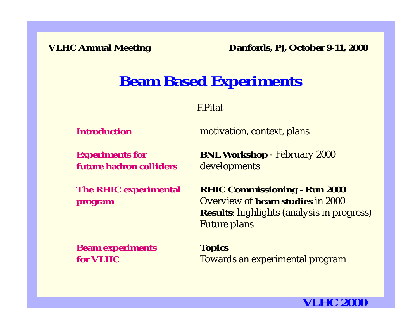# **Beam Based Experiments**

F.Pilat

**Introduction**

motivation, context, plans

**future hadron colliders**

**Experiments for BNL Workshop** - February 2000 developments

**The RHIC experimental RHIC Commissioning - Run 2000 program** Overview of **beam studies** in 2000 **Results**: highlights (analysis in progress) Future plans

**Beam experiments Topics for VLHC**

Towards an experimental program

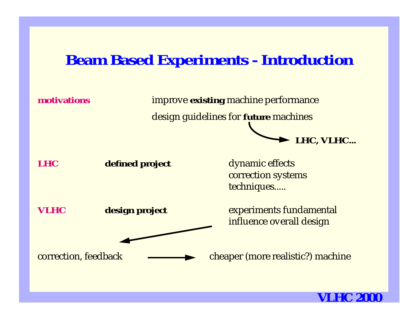# **Beam Based Experiments - Introduction**

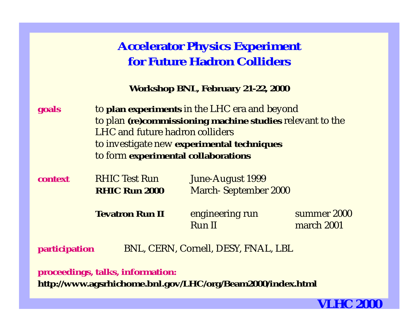## **Accelerator Physics Experiment for Future Hadron Colliders**

**Workshop BNL, February 21-22, 2000**

| goals                                                | to plan experiments in the LHC era and beyond<br>to plan (re)commissioning machine studies relevant to the<br><b>LHC</b> and future hadron colliders<br>to investigate new experimental techniques<br>to form experimental collaborations |                                                            |                           |  |
|------------------------------------------------------|-------------------------------------------------------------------------------------------------------------------------------------------------------------------------------------------------------------------------------------------|------------------------------------------------------------|---------------------------|--|
| context                                              | <b>RHIC Test Run</b><br><b>RHIC Run 2000</b>                                                                                                                                                                                              | June-August 1999<br><b>March-September 2000</b>            |                           |  |
|                                                      | <b>Tevatron Run II</b>                                                                                                                                                                                                                    | engineering run<br><b>Run II</b>                           | summer 2000<br>march 2001 |  |
| BNL, CERN, Cornell, DESY, FNAL, LBL<br>participation |                                                                                                                                                                                                                                           |                                                            |                           |  |
|                                                      | proceedings, talks, information:                                                                                                                                                                                                          | http://www.agsrhichome.bnl.gov/LHC/org/Beam2000/index.html |                           |  |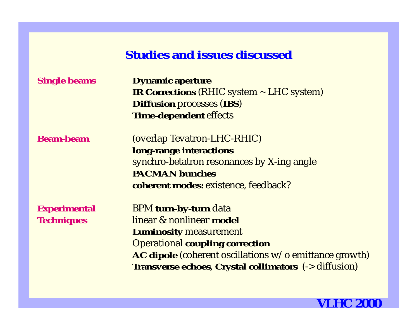### **Studies and issues discussed**

| <b>Single beams</b> | <b>Dynamic aperture</b>                                      |  |
|---------------------|--------------------------------------------------------------|--|
|                     | <b>IR Corrections (RHIC system ~ LHC system)</b>             |  |
|                     | <b>Diffusion processes (IBS)</b>                             |  |
|                     | <b>Time-dependent effects</b>                                |  |
| <b>Beam-beam</b>    | (overlap Tevatron-LHC-RHIC)                                  |  |
|                     | long-range interactions                                      |  |
|                     | synchro-betatron resonances by X-ing angle                   |  |
|                     | <b>PACMAN bunches</b>                                        |  |
|                     | <b>coherent modes:</b> existence, feedback?                  |  |
| <b>Experimental</b> | BPM turn-by-turn data                                        |  |
| <b>Techniques</b>   | linear & nonlinear model                                     |  |
|                     | <b>Luminosity measurement</b>                                |  |
|                     | <b>Operational coupling correction</b>                       |  |
|                     | AC dipole (coherent oscillations w/o emittance growth)       |  |
|                     | <b>Transverse echoes, Crystal collimators</b> (-> diffusion) |  |
|                     |                                                              |  |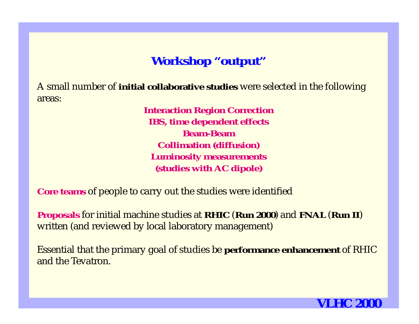## **Workshop "output"**

A small number of **initial collaborative studies** were selected in the following areas:

> **Interaction Region Correction IBS, time dependent effects Beam-BeamCollimation (diffusion) Luminosity measurements (studies with AC dipole)**

**Core teams** of people to carry out the studies were identified

**Proposals** for initial machine studies at **RHIC** (**Run 2000**) and **FNAL** (**Run II**) written (and reviewed by local laboratory management)

Essential that the primary goal of studies be **performance enhancement** of RHIC and the Tevatron.

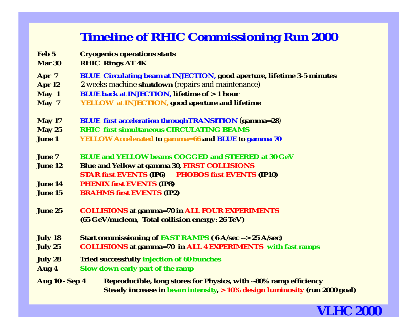## **Timeline of RHIC Commissioning Run 2000**

- **Feb 5 Cryogenics operations starts Mar 30 RHIC Rings AT 4K Apr 7 BLUE Circulating beam at INJECTION, good aperture, lifetime 3-5 minutes Apr 12** 2 weeks machine **shutdown** (repairs and maintenance) **May 1 BLUE back at INJECTION, lifetime of > 1 hour May 7 YELLOW at INJECTION, good aperture and lifetime May 17 BLUE first acceleration throughTRANSITION** (**gamma=28**) **May 25 RHIC first simultaneous CIRCULATING BEAMS June 1 YELLOW Accelerated to gamma=66 and BLUE to gamma 70 June 7 BLUE and YELLOW beams COGGED and STEERED at 30 GeVJune 12 Blue and Yellow at gamma 30, FIRST COLLISIONS STAR first EVENTS (IP6) PHOBOS first EVENTS (IP10) June 14 PHENIX first EVENTS (IP8) June 15 BRAHMS first EVENTS (IP2) June 25 COLLISIONS at gamma=70 in ALL FOUR EXPERIMENTS (65 GeV/nucleon, Total collision energy: 26 TeV) July 18 Start commissioning of FAST RAMPS ( 6 A/sec --> 25 A/sec) July 25 COLLISIONS at gamma=70 in ALL 4 EXPERIMENTS with fast ramps July 28 Tried successfully injection of 60 bunches Aug 4 Slow down early part of the ramp**
- **Aug 10 Sep 4 Reproducible, long stores for Physics, with ~80% ramp efficiency Steady increase in beam intensity, > 10% design luminosity (run 2000 goal)**

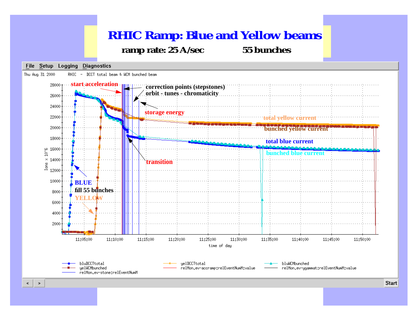## **RHIC Ramp: Blue and Yellow beams ramp rate: 25 A/sec 55 bunches**

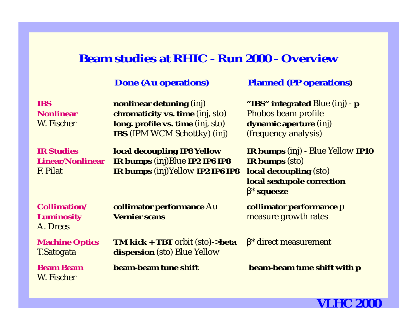### **Beam studies at RHIC - Run 2000 - Overview**

#### **Done (Au operations) Planned (PP operations)**

#### **IBS nonlinear detuning** (inj) **"IBS" integrated** Blue (inj) - **p Nonlinearchromaticity vs. time** (inj, sto) Phobos beam profile W. Fischer **long. profile vs. time** (inj, sto) **dynamic aperture** (inj) **IBS** (IPM WCM Schottky) (inj) (frequency analysis) **IR Studies local decoupling IP8 Yellow IR bumps** (inj) - Blue Yellow **IP10 Linear/Nonlinear IR bumps** (inj)Blue **IP2 IP6 IP8 IR bumps** (sto) F. Pilat **IR bumps** (inj)Yellow **IP2 IP6 IP8 local decoupling** (sto) **local sextupole correction** β \* **squeeze Collimation/ collimator performance** Au **collimator performance** p **Luminosity Vernier scans example 10 measure growth rates** A. Drees**Machine Optics TM kick + TBT** orbit (sto)->**beta** β\* direct measurement T.Satogata **dispersion** (sto) Blue Yellow **Beam Beambeam-beam tune shift beam-beam tune shift with p** W. Fischer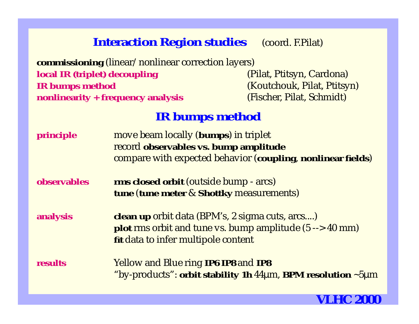## **Interaction Region studies** (coord. F.Pilat)

**commissioning** (linear/nonlinear correction layers) **local IR (triplet) decoupling The Constant Constant (Pilat, Ptitsyn, Cardona) IR bumps method** (Koutchouk, Pilat, Ptitsyn) **nonlinearity + frequency analysis** (Fischer, Pilat, Schmidt)

### **IR bumps method**

**principle** move beam locally (**bumps**) in triplet record **observables vs. bump amplitude** compare with expected behavior (**coupling**, **nonlinear fields**)

**observables rms closed orbit** (outside bump - arcs) **tune** (**tune meter** & **Shottky** measurements)

**analysis clean up** orbit data (BPM's, 2 sigma cuts, arcs....) **plot** rms orbit and tune vs. bump amplitude (5 --> 40 mm) **fit** data to infer multipole content

**results** Yellow and Blue ring **IP6 IP8** and **IP8** "by-products": **orbit stability 1h** <sup>44</sup>µm, **BPM resolution** ~5µ m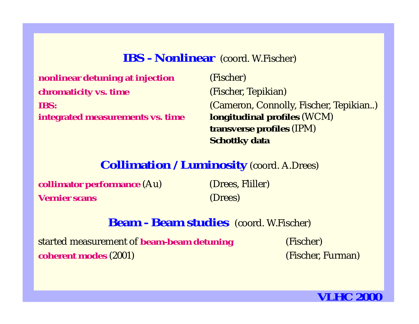### **IBS - Nonlinear** (coord. W.Fischer)

**nonlinear detuning at injection** (Fischer) **chromaticity vs. time** (Fischer, Tepikian) **IBS:integrated measurements vs. time longitudinal profiles** (WCM)

 (Cameron, Connolly, Fischer, Tepikian..) **transverse profiles** (IPM) **Schottky data**

### **Collimation / Luminosity** (coord. A.Drees)

**collimator performance** (Au) (Drees, Fliller) **Vernier scans**

(Drees)

### **Beam - Beam studies** (coord. W.Fischer)

started measurement of **beam-beam detuning** (Fischer) **coherent modes** (2001) **CONFIDENTIAL CONFIDENTIAL CONFIDENTIAL CONFIDENTIAL CONFIDENTIAL CONFIDENTIAL CONFIDENTIAL CONFIDENTIAL CONFIDENTIAL CONFIDENTIAL CONFIDENTIAL CONFIDENTIAL CONFIDENTIAL CONFIDENTIAL CONFIDENTIAL CO** 

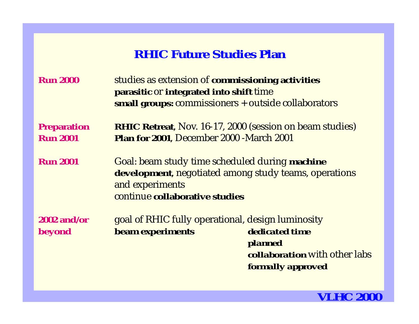## **RHIC Future Studies Plan**

| <b>Run 2000</b>                       | studies as extension of commissioning activities<br>parasitic or integrated into shift time<br>small groups: commissioners + outside collaborators           |                                                                                 |
|---------------------------------------|--------------------------------------------------------------------------------------------------------------------------------------------------------------|---------------------------------------------------------------------------------|
| <b>Preparation</b><br><b>Run 2001</b> | <b>RHIC Retreat, Nov. 16-17, 2000 (session on beam studies)</b><br>Plan for 2001, December 2000 - March 2001                                                 |                                                                                 |
| <b>Run 2001</b>                       | Goal: beam study time scheduled during machine<br>development, negotiated among study teams, operations<br>and experiments<br>continue collaborative studies |                                                                                 |
| $2002$ and/or<br><b>beyond</b>        | goal of RHIC fully operational, design luminosity<br>beam experiments                                                                                        | dedicated time<br>planned<br>collaboration with other labs<br>formally approved |

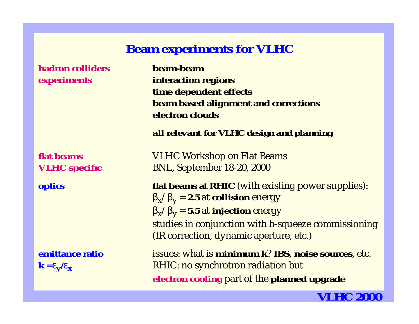### **Beam experiments for VLHC**

**hadron colliders**

**flat beams**

**emittance ratio**

 **beam-beamexperiments interaction regions time dependent effects beam based alignment and corrections electron clouds**

*all relevant for VLHC design and planning*

 VLHC Workshop on Flat Beams **VLHC specific** BNL, September 18-20, 2000

**optics flat beams at RHIC** (with existing power supplies):  $\beta_x/\beta_y = 2.5$  at **collision** energy  $\beta_x/\beta_y = 5.5$  at **injection** energy studies in conjunction with b-squeeze commissioning (IR correction, dynamic aperture, etc.)

 issues: what is **minimum k**? **IBS**, **noise sources**, etc.  $k = \varepsilon_v / \varepsilon_x$  RHIC: no synchrotron radiation but **electron cooling** part of the **planned upgrade**